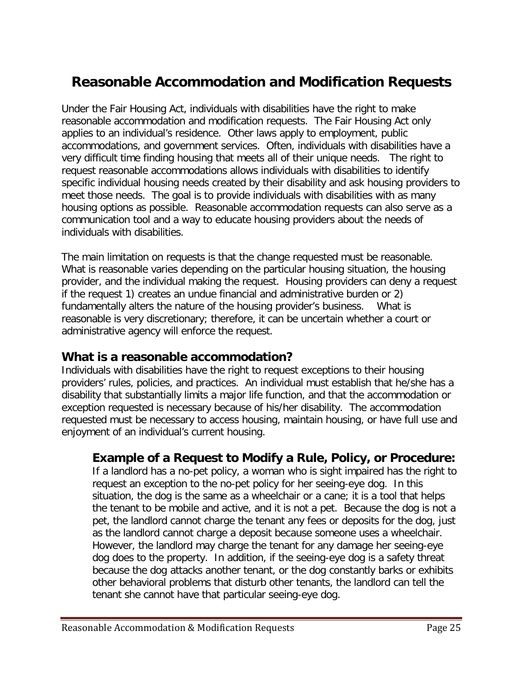# **Reasonable Accommodation and Modification Requests**

Under the Fair Housing Act, individuals with disabilities have the right to make reasonable accommodation and modification requests. The Fair Housing Act only applies to an individual's residence. Other laws apply to employment, public accommodations, and government services. Often, individuals with disabilities have a very difficult time finding housing that meets all of their unique needs. The right to request reasonable accommodations allows individuals with disabilities to identify specific individual housing needs created by their disability and ask housing providers to meet those needs. The goal is to provide individuals with disabilities with as many housing options as possible. Reasonable accommodation requests can also serve as a communication tool and a way to educate housing providers about the needs of individuals with disabilities.

The main limitation on requests is that the change requested must be reasonable. What is reasonable varies depending on the particular housing situation, the housing provider, and the individual making the request. Housing providers can deny a request if the request 1) creates an undue financial and administrative burden or 2) fundamentally alters the nature of the housing provider's business. What is reasonable is very discretionary; therefore, it can be uncertain whether a court or administrative agency will enforce the request.

#### **What is a reasonable accommodation?**

Individuals with disabilities have the right to request exceptions to their housing providers' rules, policies, and practices. An individual must establish that he/she has a disability that substantially limits a major life function, and that the accommodation or exception requested is necessary because of his/her disability. The accommodation requested must be necessary to access housing, maintain housing, or have full use and enjoyment of an individual's current housing.

#### **Example of a Request to Modify a Rule, Policy, or Procedure:**

If a landlord has a no-pet policy, a woman who is sight impaired has the right to request an exception to the no-pet policy for her seeing-eye dog. In this situation, the dog is the same as a wheelchair or a cane; it is a tool that helps the tenant to be mobile and active, and it is not a pet. Because the dog is not a pet, the landlord cannot charge the tenant any fees or deposits for the dog, just as the landlord cannot charge a deposit because someone uses a wheelchair. However, the landlord may charge the tenant for any damage her seeing-eye dog does to the property. In addition, if the seeing-eye dog is a safety threat because the dog attacks another tenant, or the dog constantly barks or exhibits other behavioral problems that disturb other tenants, the landlord can tell the tenant she cannot have that particular seeing-eye dog.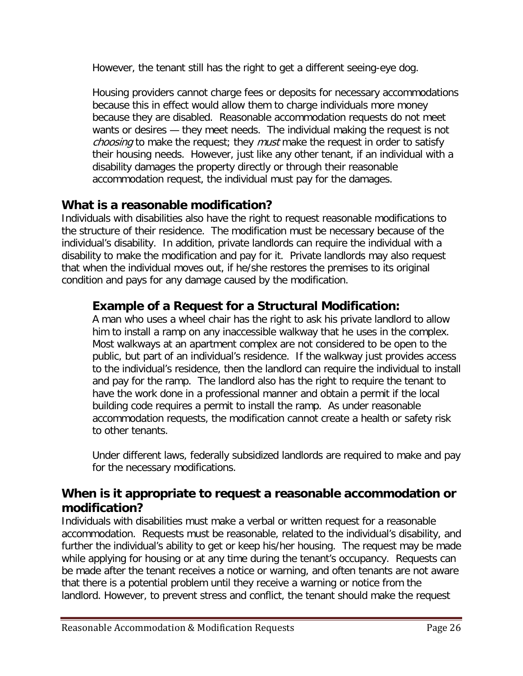However, the tenant still has the right to get a different seeing-eye dog.

Housing providers cannot charge fees or deposits for necessary accommodations because this in effect would allow them to charge individuals more money because they are disabled. Reasonable accommodation requests do not meet wants or desires — they meet needs. The individual making the request is not choosing to make the request; they *must* make the request in order to satisfy their housing needs. However, just like any other tenant, if an individual with a disability damages the property directly or through their reasonable accommodation request, the individual must pay for the damages.

# **What is a reasonable modification?**

Individuals with disabilities also have the right to request reasonable modifications to the structure of their residence. The modification must be necessary because of the individual's disability. In addition, private landlords can require the individual with a disability to make the modification and pay for it. Private landlords may also request that when the individual moves out, if he/she restores the premises to its original condition and pays for any damage caused by the modification.

#### **Example of a Request for a Structural Modification:**

A man who uses a wheel chair has the right to ask his private landlord to allow him to install a ramp on any inaccessible walkway that he uses in the complex. Most walkways at an apartment complex are not considered to be open to the public, but part of an individual's residence. If the walkway just provides access to the individual's residence, then the landlord can require the individual to install and pay for the ramp. The landlord also has the right to require the tenant to have the work done in a professional manner and obtain a permit if the local building code requires a permit to install the ramp. As under reasonable accommodation requests, the modification cannot create a health or safety risk to other tenants.

Under different laws, federally subsidized landlords are required to make and pay for the necessary modifications.

# **When is it appropriate to request a reasonable accommodation or modification?**

Individuals with disabilities must make a verbal or written request for a reasonable accommodation. Requests must be reasonable, related to the individual's disability, and further the individual's ability to get or keep his/her housing. The request may be made while applying for housing or at any time during the tenant's occupancy. Requests can be made after the tenant receives a notice or warning, and often tenants are not aware that there is a potential problem until they receive a warning or notice from the landlord. However, to prevent stress and conflict, the tenant should make the request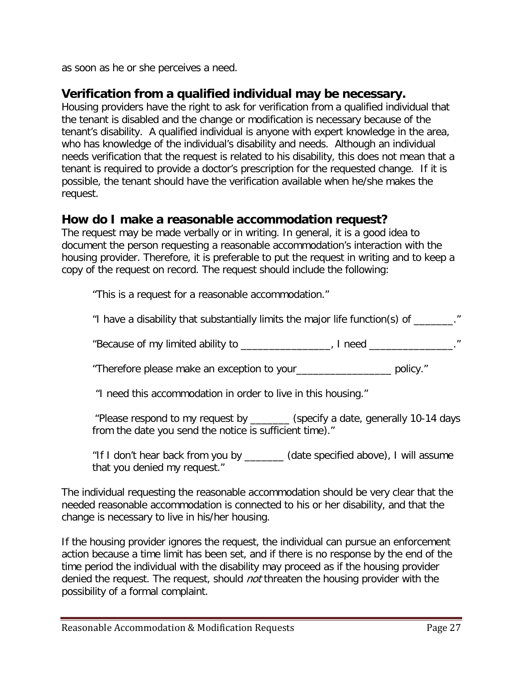as soon as he or she perceives a need.

### **Verification from a qualified individual may be necessary.**

Housing providers have the right to ask for verification from a qualified individual that the tenant is disabled and the change or modification is necessary because of the tenant's disability. A qualified individual is anyone with expert knowledge in the area, who has knowledge of the individual's disability and needs. Although an individual needs verification that the request is related to his disability, this does not mean that a tenant is required to provide a doctor's prescription for the requested change. If it is possible, the tenant should have the verification available when he/she makes the request.

#### **How do I make a reasonable accommodation request?**

The request may be made verbally or in writing. In general, it is a good idea to document the person requesting a reasonable accommodation's interaction with the housing provider. Therefore, it is preferable to put the request in writing and to keep a copy of the request on record. The request should include the following:

"This is a request for a reasonable accommodation."

"I have a disability that substantially limits the major life function(s) of \_\_\_\_\_\_\_."

"Because of my limited ability to \_\_\_\_\_\_\_\_\_\_\_\_\_\_\_\_, I need \_\_\_\_\_\_\_\_\_\_\_\_."

"Therefore please make an exception to your\_\_\_\_\_\_\_\_\_\_\_\_\_\_\_\_\_ policy."

"I need this accommodation in order to live in this housing."

"Please respond to my request by \_\_\_\_\_\_\_ (specify a date, generally 10-14 days from the date you send the notice is sufficient time)."

"If I don't hear back from you by \_\_\_\_\_\_\_ (date specified above), I will assume that you denied my request."

The individual requesting the reasonable accommodation should be very clear that the needed reasonable accommodation is connected to his or her disability, and that the change is necessary to live in his/her housing.

If the housing provider ignores the request, the individual can pursue an enforcement action because a time limit has been set, and if there is no response by the end of the time period the individual with the disability may proceed as if the housing provider denied the request. The request, should *not* threaten the housing provider with the possibility of a formal complaint.